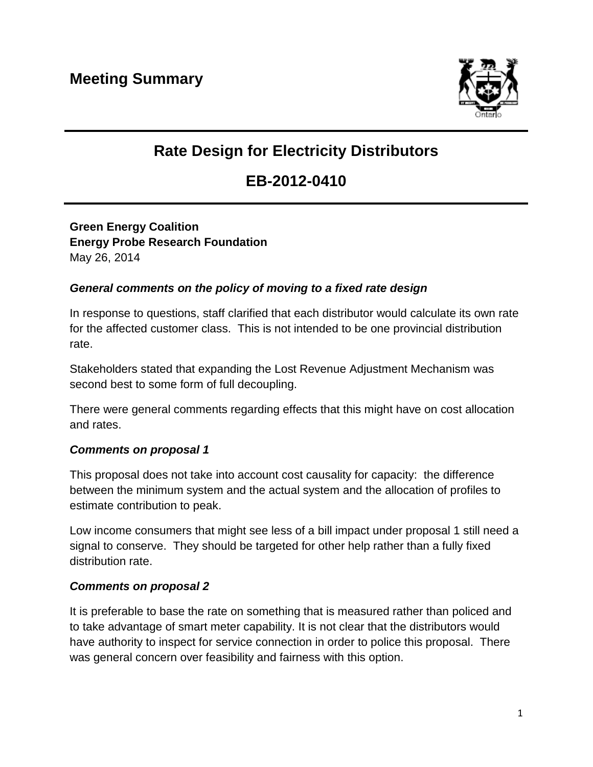

# **Rate Design for Electricity Distributors**

## **EB-2012-0410**

**Green Energy Coalition Energy Probe Research Foundation** May 26, 2014

### *General comments on the policy of moving to a fixed rate design*

In response to questions, staff clarified that each distributor would calculate its own rate for the affected customer class. This is not intended to be one provincial distribution rate.

Stakeholders stated that expanding the Lost Revenue Adjustment Mechanism was second best to some form of full decoupling.

There were general comments regarding effects that this might have on cost allocation and rates.

### *Comments on proposal 1*

This proposal does not take into account cost causality for capacity: the difference between the minimum system and the actual system and the allocation of profiles to estimate contribution to peak.

Low income consumers that might see less of a bill impact under proposal 1 still need a signal to conserve. They should be targeted for other help rather than a fully fixed distribution rate.

#### *Comments on proposal 2*

It is preferable to base the rate on something that is measured rather than policed and to take advantage of smart meter capability. It is not clear that the distributors would have authority to inspect for service connection in order to police this proposal. There was general concern over feasibility and fairness with this option.